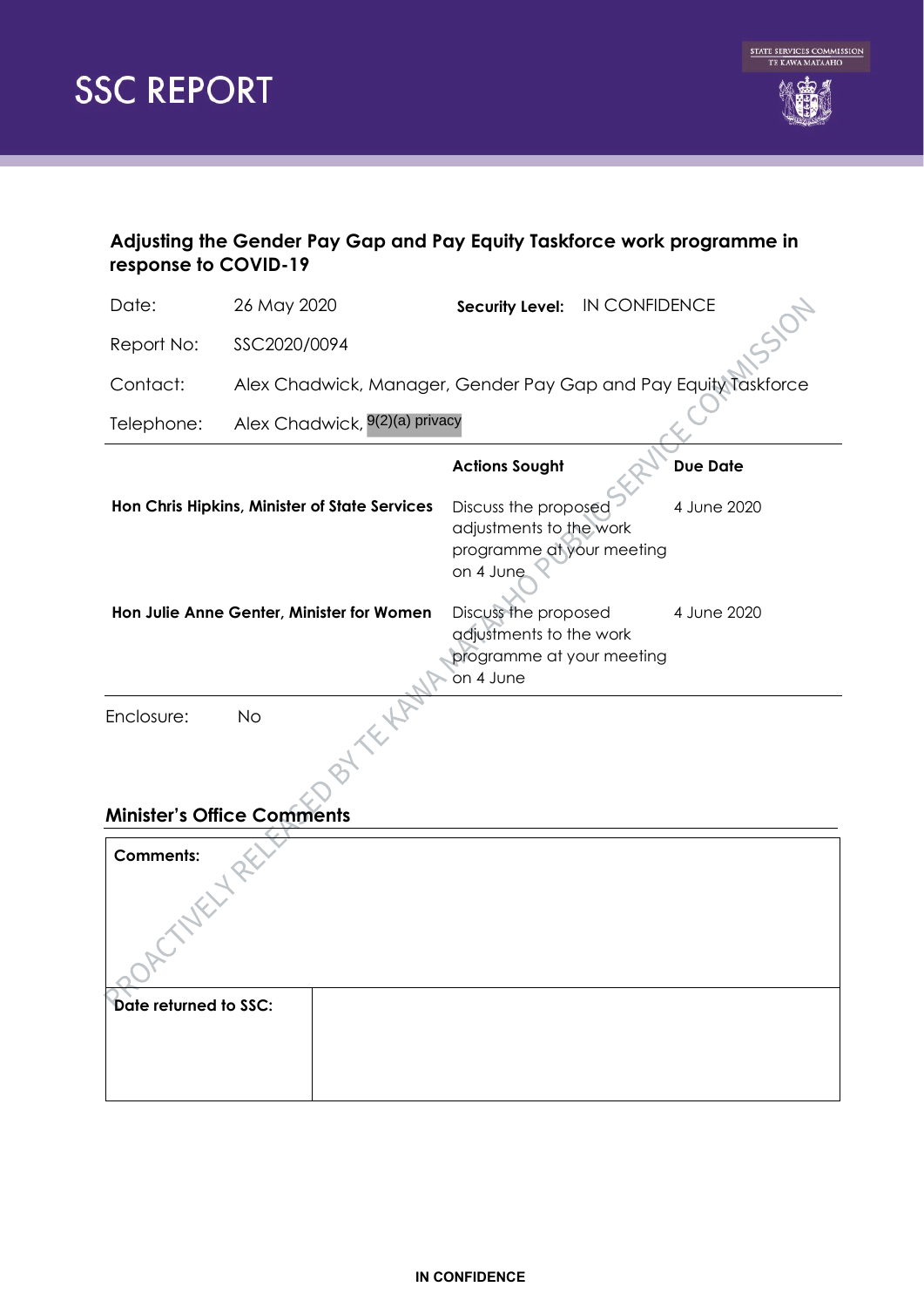



# **Adjusting the Gender Pay Gap and Pay Equity Taskforce work programme in response to COVID-19**

| Date:                             | 26 May 2020                                   | Security Level: IN CONFIDENCE                                                             |                 |  |
|-----------------------------------|-----------------------------------------------|-------------------------------------------------------------------------------------------|-----------------|--|
| Report No:                        | SSC2020/0094                                  |                                                                                           |                 |  |
| Contact:                          |                                               | Alex Chadwick, Manager, Gender Pay Gap and Pay Equity Taskforce                           |                 |  |
| Telephone:                        | Alex Chadwick, 9(2)(a) privacy                |                                                                                           |                 |  |
|                                   |                                               | <b>Actions Sought</b>                                                                     | <b>Due Date</b> |  |
|                                   | Hon Chris Hipkins, Minister of State Services | Discuss the proposed<br>adjustments to the work<br>programme at your meeting<br>on 4 June | 4 June 2020     |  |
|                                   | Hon Julie Anne Genter, Minister for Women     | Discuss the proposed<br>adjustments to the work<br>programme at your meeting<br>on 4 June | 4 June 2020     |  |
| Enclosure:                        | <b>No</b>                                     |                                                                                           |                 |  |
| <b>Minister's Office Comments</b> |                                               |                                                                                           |                 |  |
| <b>Comments:</b>                  |                                               |                                                                                           |                 |  |

| <b>Comments:</b>      |  |  |
|-----------------------|--|--|
| Date returned to SSC: |  |  |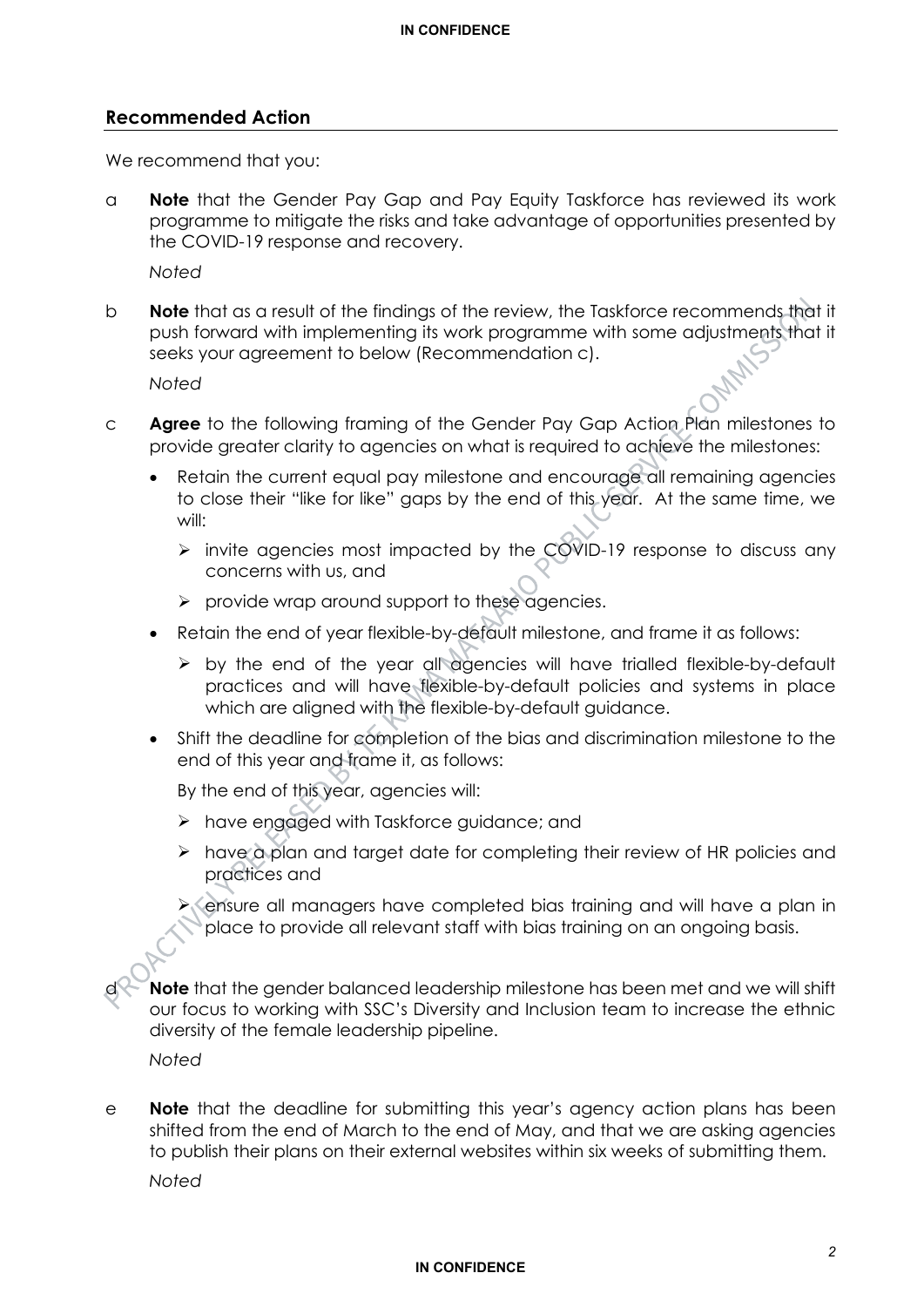#### **Recommended Action**

We recommend that you:

a **Note** that the Gender Pay Gap and Pay Equity Taskforce has reviewed its work programme to mitigate the risks and take advantage of opportunities presented by the COVID-19 response and recovery.

*Noted*

b **Note** that as a result of the findings of the review, the Taskforce recommends that it push forward with implementing its work programme with some adjustments that it seeks your agreement to below (Recommendation c).

*Noted*

- c **Agree** to the following framing of the Gender Pay Gap Action Plan milestones to provide greater clarity to agencies on what is required to achieve the milestones:
	- Retain the current equal pay milestone and encourage all remaining agencies to close their "like for like" gaps by the end of this year. At the same time, we will:
		- $\triangleright$  invite agencies most impacted by the COVID-19 response to discuss any concerns with us, and
		- $\triangleright$  provide wrap around support to these agencies.
	- Retain the end of year flexible-by-default milestone, and frame it as follows:
		- $\triangleright$  by the end of the year all agencies will have trialled flexible-by-default practices and will have flexible-by-default policies and systems in place which are aligned with the flexible-by-default guidance.
	- Shift the deadline for completion of the bias and discrimination milestone to the end of this year and frame it, as follows:

By the end of this year, agencies will:

- $\triangleright$  have engaged with Taskforce guidance; and
- $\triangleright$  have a plan and target date for completing their review of HR policies and practices and

 ensure all managers have completed bias training and will have a plan in place to provide all relevant staff with bias training on an ongoing basis.

d **Note** that the gender balanced leadership milestone has been met and we will shift our focus to working with SSC's Diversity and Inclusion team to increase the ethnic diversity of the female leadership pipeline.

*Noted*

e **Note** that the deadline for submitting this year's agency action plans has been shifted from the end of March to the end of May, and that we are asking agencies to publish their plans on their external websites within six weeks of submitting them.

*Noted*

#### **IN CONFIDENCE**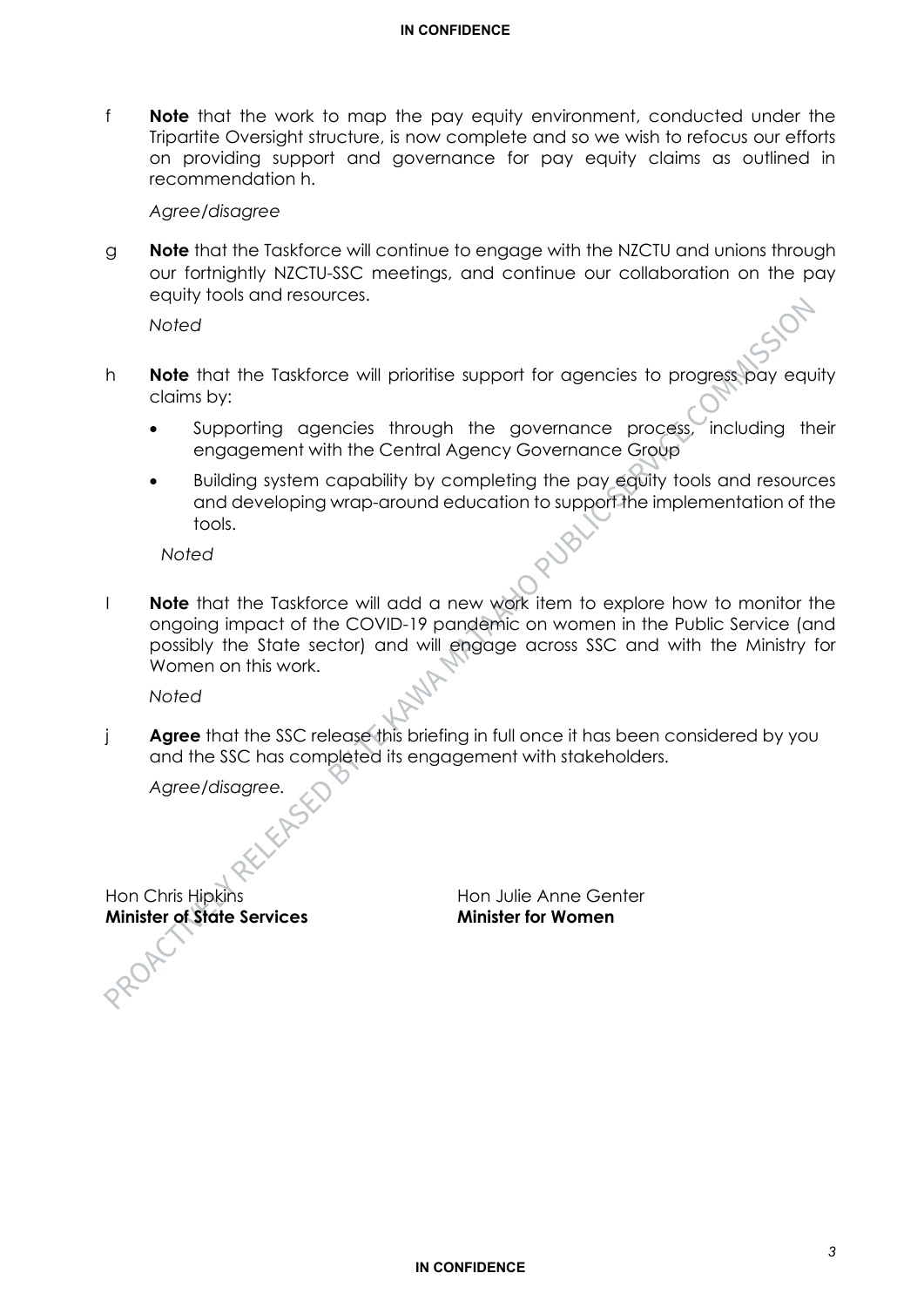f **Note** that the work to map the pay equity environment, conducted under the Tripartite Oversight structure, is now complete and so we wish to refocus our efforts on providing support and governance for pay equity claims as outlined in recommendation h.

#### *Agree/disagree*

g **Note** that the Taskforce will continue to engage with the NZCTU and unions through our fortnightly NZCTU-SSC meetings, and continue our collaboration on the pay equity tools and resources.

*Noted*

- h **Note** that the Taskforce will prioritise support for agencies to progress pay equity claims by:
	- Supporting agencies through the governance process, including their engagement with the Central Agency Governance Group
	- Building system capability by completing the pay equity tools and resources and developing wrap-around education to support the implementation of the tools.

*Noted*

I **Note** that the Taskforce will add a new work item to explore how to monitor the ongoing impact of the COVID-19 pandemic on women in the Public Service (and possibly the State sector) and will engage across SSC and with the Ministry for Women on this work.

*Noted*

j **Agree** that the SSC release this briefing in full once it has been considered by you and the SSC has completed its engagement with stakeholders.

*Agree/disagree.*

Hon Chris Hipkins<br> **Minister of State Services**<br> **Minister for Women Minister of State Services**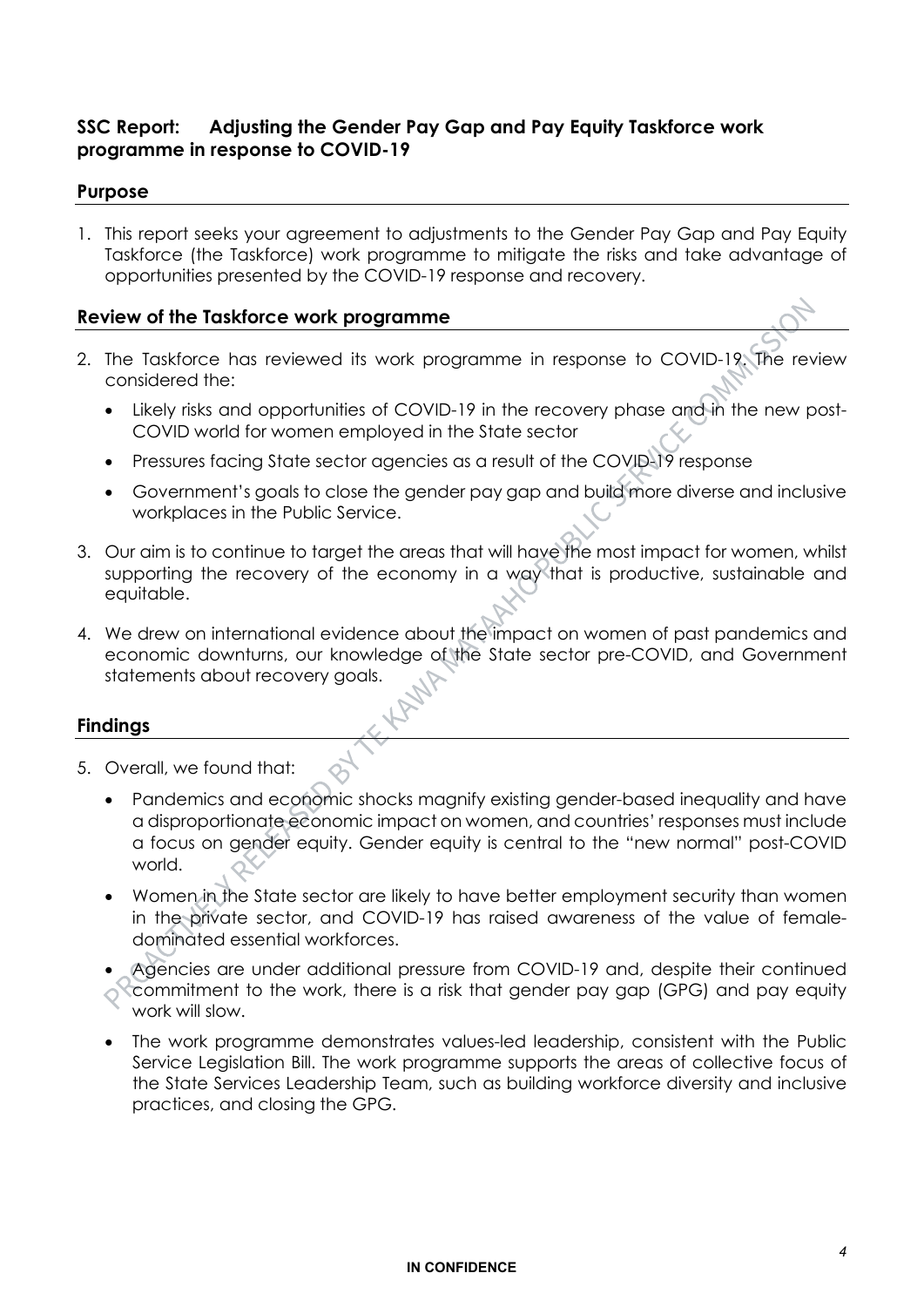# **SSC Report: Adjusting the Gender Pay Gap and Pay Equity Taskforce work programme in response to COVID-19**

### **Purpose**

1. This report seeks your agreement to adjustments to the Gender Pay Gap and Pay Equity Taskforce (the Taskforce) work programme to mitigate the risks and take advantage of opportunities presented by the COVID-19 response and recovery.

### **Review of the Taskforce work programme**

- 2. The Taskforce has reviewed its work programme in response to COVID-19. The review considered the: *\*\*\** **P \*\*\* P \*\*\* S \*\*\* P \*\*\* S \*\*\* S \*\*\* S \*\*\* S \*\*\* S \*\*\* S \*\*\* S \*\*\* S \*\*\* S \*\*\* S \* S \* S \* S \* S \* S \* S S S S S S S S S**
	- Likely risks and opportunities of COVID-19 in the recovery phase and in the new post-<br>COVID world for waman ampleved in the State sector COVID world for women employed in the State sector
	- Pressures facing State sector agencies as a result of the COVID-19 response<br>• Government's goals to close the gender pay gap and build more diverse a
	- Government's goals to close the gender pay gap and build more diverse and inclusive workplaces in the Public Service.
- 3. Our aim is to continue to target the areas that will have the most impact for women, whilst supporting the recovery of the economy in a way that is productive, sustainable and equitable. ~~ **0~**  ave the m<br>**b** that is
- 4. We drew on international evidence about the impact on women of past pandemics and economic downturns, our knowledge of the State sector pre-COVID, and Government statements about recovery goals. ~~~~~~~~~~

 $\rightarrow$ 

### **Findings**

- 5. Overall, we found that:
- Overall, we found that:<br>• Pandemics and economic shocks magnify existing gender-based inequality and have a disproportionate economic impact on women, and countries' responses must include a focus on gender equity. Gender equity is central to the "new normal" post-COVID world.  $\cdot$ <del>2</del>
	- Women in the State sector are likely to have better employment security than women in the private sector, and COVID-19 has raised awareness of the value of female-<br>dominated essential workforces. dominated essential workforces.
	- Agencies are under additional pressure from COVID-19 and, despite their continued **Commitment to the work, there is a risk that gender pay gap (GPG) and pay equity** work will slow.
	- The work programme demonstrates values-led leadership, consistent with the Public Service Legislation Bill. The work programme supports the areas of collective focus of the State Services Leadership Team, such as building workforce diversity and inclusive practices, and closing the GPG.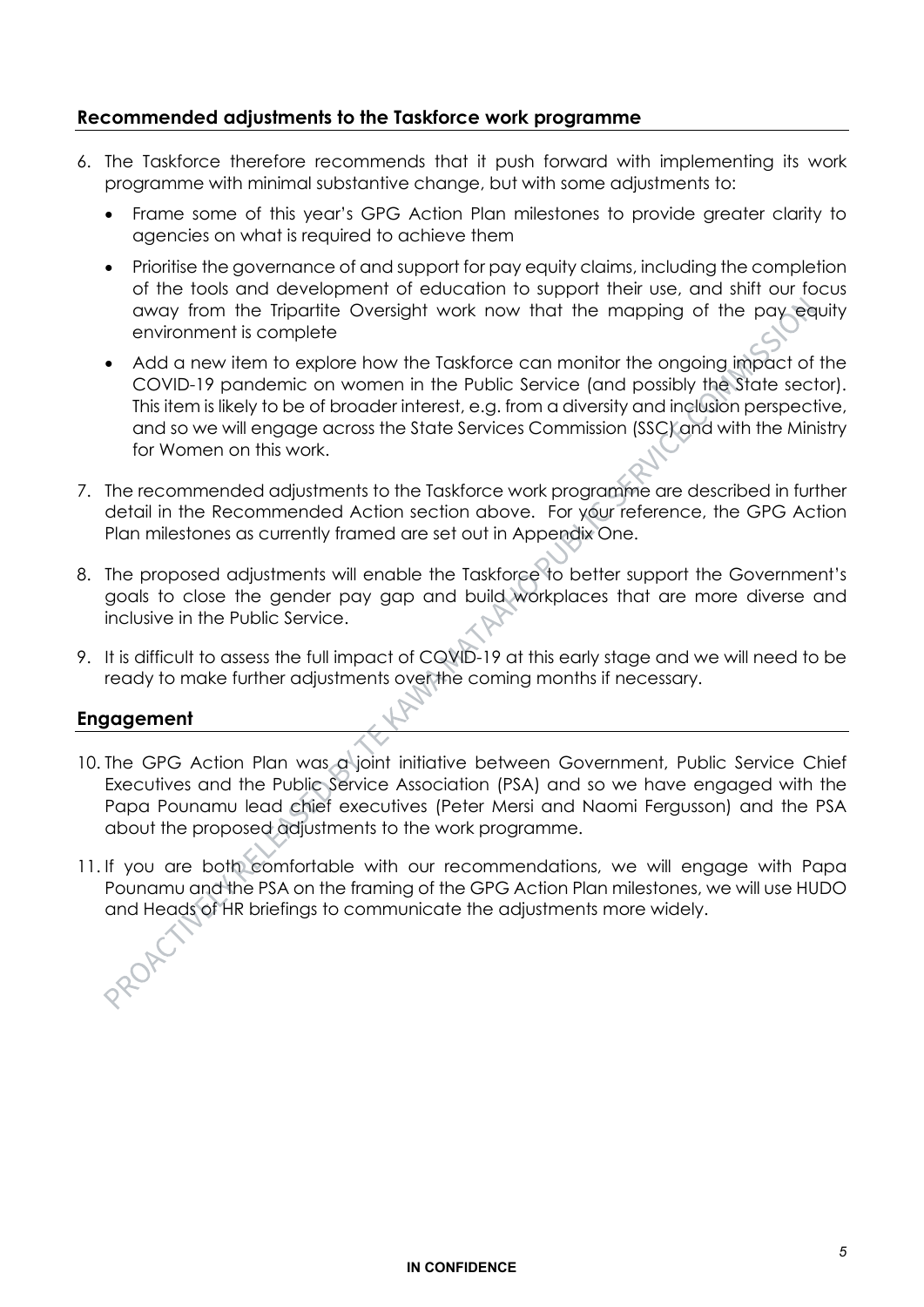## **Recommended adjustments to the Taskforce work programme**

- 6. The Taskforce therefore recommends that it push forward with implementing its work programme with minimal substantive change, but with some adjustments to:
	- Frame some of this year's GPG Action Plan milestones to provide greater clarity to agencies on what is required to achieve them
	- Prioritise the governance of and support for pay equity claims, including the completion of the tools and development of education to support their use, and shift our focus away from the Tripartite Oversight work now that the mapping of the pay equity environment is complete
	- Add a new item to explore how the Taskforce can monitor the ongoing impact of the COVID-19 pandemic on women in the Public Service (and possibly the State sector). This item is likely to be of broader interest, e.g. from a diversity and inclusion perspective, and so we will engage across the State Services Commission (SSC) and with the Ministry for Women on this work.
- 7. The recommended adjustments to the Taskforce work programme are described in further detail in the Recommended Action section above. For your reference, the GPG Action Plan milestones as currently framed are set out in Appendix One.
- 8. The proposed adjustments will enable the Taskforce to better support the Government's goals to close the gender pay gap and build workplaces that are more diverse and inclusive in the Public Service.
- 9. It is difficult to assess the full impact of COVID-19 at this early stage and we will need to be ready to make further adjustments over the coming months if necessary.

### **Engagement**

- 10. The GPG Action Plan was a joint initiative between Government, Public Service Chief Executives and the Public Service Association (PSA) and so we have engaged with the Papa Pounamu lead chief executives (Peter Mersi and Naomi Fergusson) and the PSA about the proposed adjustments to the work programme.
- 11. If you are both comfortable with our recommendations, we will engage with Papa Pounamu and the PSA on the framing of the GPG Action Plan milestones, we will use HUDO and Heads of HR briefings to communicate the adjustments more widely.